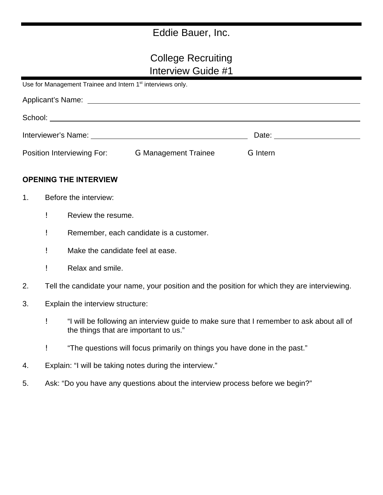# Eddie Bauer, Inc.

# College Recruiting Interview Guide #1

Use for Management Trainee and Intern 1<sup>st</sup> interviews only.

| Interviewer's Name: The contract of the contract of the contract of the contract of the contract of the contract of the contract of the contract of the contract of the contract of the contract of the contract of the contra |                             |                 | Date: the contract of the contract of the contract of the contract of the contract of the contract of the contract of the contract of the contract of the contract of the contract of the contract of the contract of the cont |  |  |
|--------------------------------------------------------------------------------------------------------------------------------------------------------------------------------------------------------------------------------|-----------------------------|-----------------|--------------------------------------------------------------------------------------------------------------------------------------------------------------------------------------------------------------------------------|--|--|
| Position Interviewing For:                                                                                                                                                                                                     | <b>G Management Trainee</b> | <b>G</b> Intern |                                                                                                                                                                                                                                |  |  |

#### **OPENING THE INTERVIEW**

- 1. Before the interview:
	- ! Review the resume.
	- ! Remember, each candidate is a customer.
	- ! Make the candidate feel at ease.
	- ! Relax and smile.
- 2. Tell the candidate your name, your position and the position for which they are interviewing.
- 3. Explain the interview structure:
	- ! "I will be following an interview guide to make sure that I remember to ask about all of the things that are important to us."
	- ! "The questions will focus primarily on things you have done in the past."
- 4. Explain: "I will be taking notes during the interview."
- 5. Ask: "Do you have any questions about the interview process before we begin?"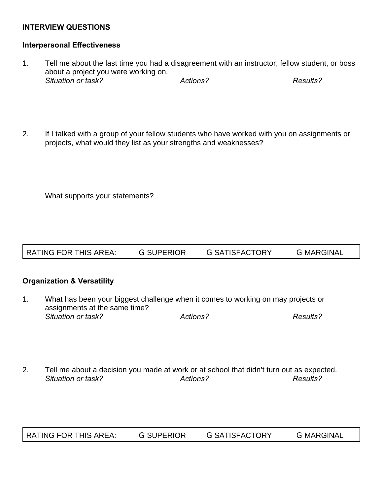### **INTERVIEW QUESTIONS**

#### **Interpersonal Effectiveness**

- 1. Tell me about the last time you had a disagreement with an instructor, fellow student, or boss about a project you were working on. *Situation or task? Actions? Results?*
- 2. If I talked with a group of your fellow students who have worked with you on assignments or projects, what would they list as your strengths and weaknesses?

What supports your statements?

#### **Organization & Versatility**

- 1. What has been your biggest challenge when it comes to working on may projects or assignments at the same time? *Situation or task? Actions? Results?*
- 2. Tell me about a decision you made at work or at school that didn't turn out as expected. *Situation or task? Actions? Results?*

RATING FOR THIS AREA: G SUPERIOR G SATISFACTORY G MARGINAL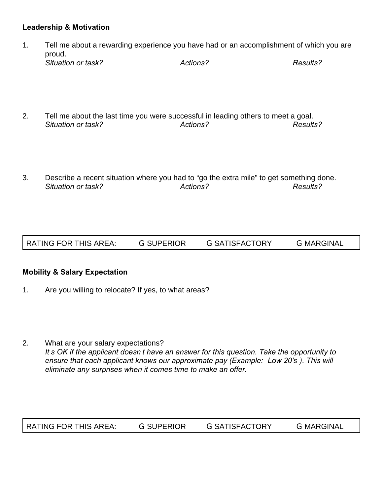### **Leadership & Motivation**

- 1. Tell me about a rewarding experience you have had or an accomplishment of which you are proud. *Situation or task? Actions? Results?*
- 2. Tell me about the last time you were successful in leading others to meet a goal. *Situation or task? Actions? Results?*
- 3. Describe a recent situation where you had to "go the extra mile" to get something done. *Situation or task? Actions? Results?*

RATING FOR THIS AREA: G SUPERIOR G SATISFACTORY G MARGINAL

#### **Mobility & Salary Expectation**

- 1. Are you willing to relocate? If yes, to what areas?
- 2. What are your salary expectations? It s OK if the applicant doesn t have an answer for this question. Take the opportunity to *ensure that each applicant knows our approximate pay (Example: Low 20's). This will eliminate any surprises when it comes time to make an offer.*

RATING FOR THIS AREA: G SUPERIOR G SATISFACTORY G MARGINAL